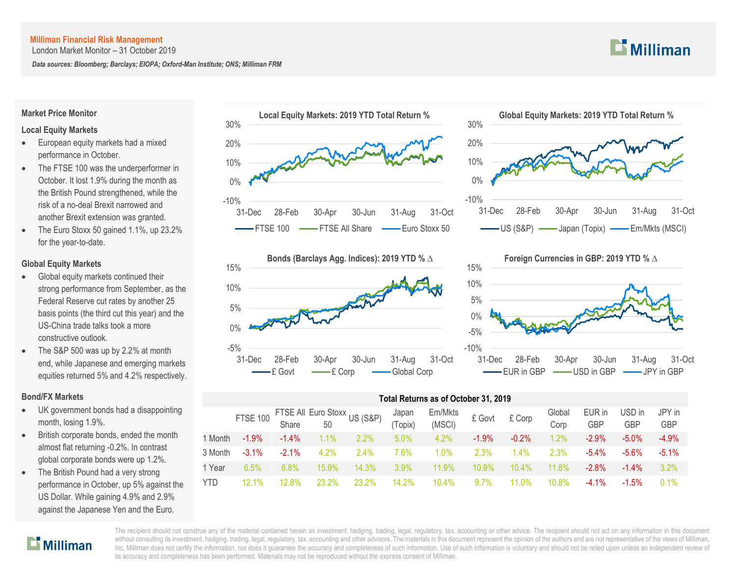London Market Monitor – 31 October 2019

*Data sources: Bloomberg; Barclays; EIOPA; Oxford-Man Institute; ONS; Milliman FRM*

#### **Market Price Monitor**

## **Local Equity Markets**

- **European equity markets had a mixed** performance in October.
- The FTSE 100 was the underperformer in October. It lost 1.9% during the month as the British Pound strengthened, while the risk of a no-deal Brexit narrowed and another Brexit extension was granted.
- The Euro Stoxx 50 gained 1.1%, up 23.2% for the year-to-date.

## **Global Equity Markets**

- Global equity markets continued their strong performance from September, as the Federal Reserve cut rates by another 25 basis points (the third cut this year) and the US-China trade talks took a more constructive outlook.
- The S&P 500 was up by 2.2% at month end, while Japanese and emerging markets equities returned 5% and 4.2% respectively.

## **Bond/FX Markets**

- UK government bonds had a disappointing month, losing 1.9%.
- British corporate bonds, ended the month almost flat returning -0.2%. In contrast global corporate bonds were up 1.2%.
- The British Pound had a very strong performance in October, up 5% against the US Dollar. While gaining 4.9% and 2.9% against the Japanese Yen and the Euro.









|            | Total Returns as of October 31, 2019 |          |                                    |         |                  |                   |         |          |                |               |               |                      |  |
|------------|--------------------------------------|----------|------------------------------------|---------|------------------|-------------------|---------|----------|----------------|---------------|---------------|----------------------|--|
|            | <b>FTSE 100</b>                      | Share    | FTSE All Euro Stoxx US (S&P)<br>50 |         | Japan<br>(Topix) | Em/Mkts<br>(MSCI) | £ Govt  | £ Corp   | Global<br>Corp | EUR in<br>GBP | USD in<br>GBP | JPY in<br><b>GBP</b> |  |
| 1 Month    | $-1.9%$                              | $-1.4\%$ | 1.1%                               | $2.2\%$ | 5.0%             | 4.2%              | $-1.9%$ | $-0.2%$  | 1.2%           | $-2.9%$       | $-5.0\%$      | $-4.9%$              |  |
| 3 Month    | $-3.1\%$                             | $-2.1%$  | 4.2%                               | 2.4%    | 7.6%             | 1.0%              | 2.3%    | $1.4\%$  | 2.3%           | $-5.4%$       | $-5.6\%$      | $-5.1%$              |  |
| 1 Year     | 6.5%                                 | 6.8%     | 15.9%                              | 14.3%   | $3.9\%$          | 11.9%             | 10.9%   | $10.4\%$ | 11.8%          | $-2.8%$       | $-1.4\%$      | 3.2%                 |  |
| <b>YTD</b> | $12.1\%$                             | 12.8%    | 23.2%                              | 23.2%   | 14.2%            | 10.4%             | 9.7%    | 11.0%    | 10.8%          | $-4.1%$       | $-1.5\%$      | 0.1%                 |  |



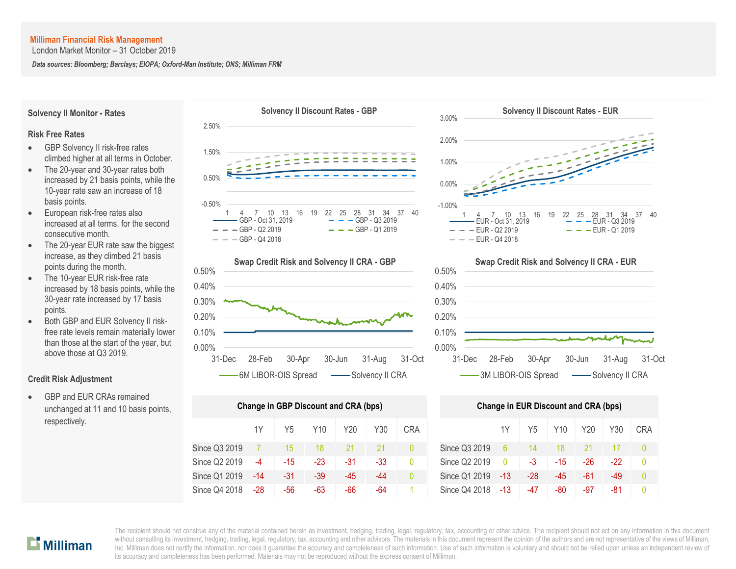**Solvency II Monitor - Rates**

**Risk Free Rates**

London Market Monitor – 31 October 2019

*Data sources: Bloomberg; Barclays; EIOPA; Oxford-Man Institute; ONS; Milliman FRM*

- GBP Solvency II risk-free rates climbed higher at all terms in October. The 20-year and 30-year rates both increased by 21 basis points, while the 10-year rate saw an increase of 18 basis points.
- European risk-free rates also increased at all terms, for the second consecutive month.
- The 20-year EUR rate saw the biggest increase, as they climbed 21 basis points during the month.
- The 10-year EUR risk-free rate increased by 18 basis points, while the 30-year rate increased by 17 basis points.
- Both GBP and EUR Solvency II riskfree rate levels remain materially lower than those at the start of the year, but above those at Q3 2019.

#### **Credit Risk Adjustment**

 GBP and EUR CRAs remained unchanged at 11 and 10 basis points, respectively.





| Change in GBP Discount and CRA (bps) | <b>Change in EUR Discount and CRA (bps)</b> |       |       |       |     |            |               |       |                |       |       |       |    |
|--------------------------------------|---------------------------------------------|-------|-------|-------|-----|------------|---------------|-------|----------------|-------|-------|-------|----|
|                                      | 1Y                                          | Y5    | Y10   | Y20   | Y30 | <b>CRA</b> |               | 1Y    | Y <sub>5</sub> | Y10   | Y20   | Y30   | CR |
| Since Q3 2019                        |                                             | 15    | 18    | 21    | 21  | 0          | Since Q3 2019 | 6     | 14             | 18    |       |       | Ω  |
| Since Q2 2019                        | $-4$                                        | $-15$ | $-23$ | $-31$ | -33 | 0          | Since Q2 2019 | 0     | -3             | $-15$ | $-26$ | $-22$ | 0  |
| Since Q1 2019                        | $-14$                                       | $-31$ | -39   | $-45$ | -44 | 0          | Since Q1 2019 | $-13$ | $-28$          | -45   | -61   | -49   | Λ  |
| Since Q4 2018                        | -28                                         | -56   | -63   | -66   | -64 |            | Since Q4 2018 | -13   | -47            | -80   | -97   | -81   | Ŋ  |





|      | nge in GBP Discount and CRA (bps) |                 |       |     |            | <b>Change in EUR Discount and CRA (bps)</b> |          |       |       |     |     |            |  |
|------|-----------------------------------|-----------------|-------|-----|------------|---------------------------------------------|----------|-------|-------|-----|-----|------------|--|
| 1Y   | Y5                                | Y <sub>10</sub> | Y20   | Y30 | <b>CRA</b> |                                             | 1Y       | Y5    | Y10   | Y20 | Y30 | <b>CRA</b> |  |
|      | 15                                | 18              | 21    | 21  |            | Since Q3 2019                               | 6        | 14    | 18    |     |     |            |  |
| $-4$ | $-15$                             | $-23$           | -31   | -33 | $\Omega$   | Since Q2 2019                               | $\Omega$ | $-3$  | $-15$ | -26 | -22 |            |  |
| -14  | -31                               | $-39$           | $-45$ | -44 | 0          | Since Q1 2019                               | -13      | $-28$ | -45   | -61 | -49 | $\Omega$   |  |
| -28  | -56                               | -63             | -66   | -64 |            | Since Q4 2018                               | $-13$    | -47   | -80   | -97 | -81 |            |  |

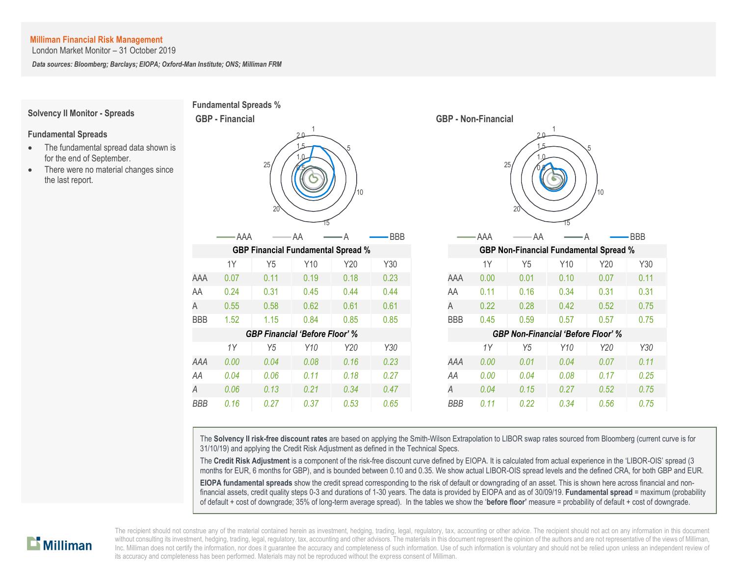London Market Monitor – 31 October 2019

*Data sources: Bloomberg; Barclays; EIOPA; Oxford-Man Institute; ONS; Milliman FRM*

#### **Solvency II Monitor - Spreads**

#### **Fundamental Spreads**

- The fundamental spread data shown is for the end of September.
- There were no material changes since the last report.





The **Solvency II risk-free discount rates** are based on applying the Smith-Wilson Extrapolation to LIBOR swap rates sourced from Bloomberg (current curve is for 31/10/19) and applying the Credit Risk Adjustment as defined in the Technical Specs.

The **Credit Risk Adjustment** is a component of the risk-free discount curve defined by EIOPA. It is calculated from actual experience in the 'LIBOR-OIS' spread (3 months for EUR, 6 months for GBP), and is bounded between 0.10 and 0.35. We show actual LIBOR-OIS spread levels and the defined CRA, for both GBP and EUR.

**EIOPA fundamental spreads** show the credit spread corresponding to the risk of default or downgrading of an asset. This is shown here across financial and nonfinancial assets, credit quality steps 0-3 and durations of 1-30 years. The data is provided by EIOPA and as of 30/09/19. **Fundamental spread** = maximum (probability of default + cost of downgrade; 35% of long-term average spread). In the tables we show the '**before floor'** measure = probability of default + cost of downgrade.

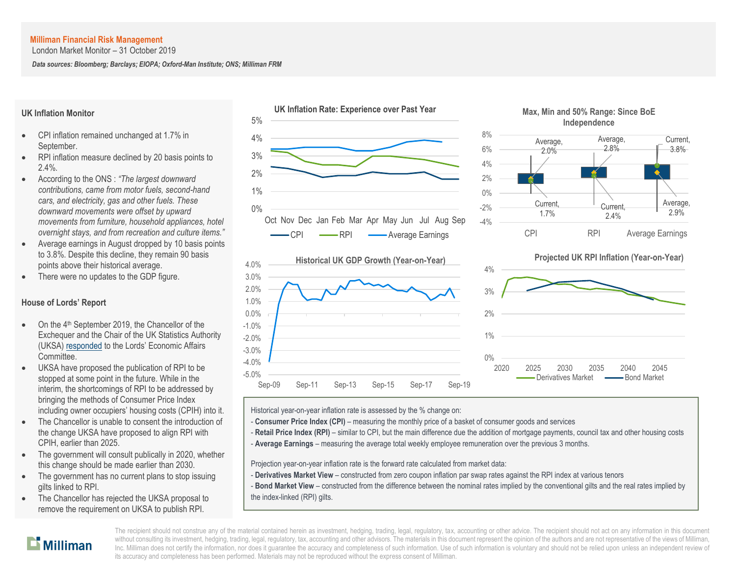London Market Monitor – 31 October 2019

*Data sources: Bloomberg; Barclays; EIOPA; Oxford-Man Institute; ONS; Milliman FRM*

## **UK Inflation Monitor**

- CPI inflation remained unchanged at 1.7% in September.
- RPI inflation measure declined by 20 basis points to 2.4%.
- According to the ONS : *"The largest downward contributions, came from motor fuels, second-hand cars, and electricity, gas and other fuels. These downward movements were offset by upward movements from furniture, household appliances, hotel overnight stays, and from recreation and culture items."*
- Average earnings in August dropped by 10 basis points to 3.8%. Despite this decline, they remain 90 basis points above their historical average.
- There were no updates to the GDP figure.

## **House of Lords' Report**

- On the 4<sup>th</sup> September 2019, the Chancellor of the Exchequer and the Chair of the UK Statistics Authority (UKSA) [responded](https://www.parliament.uk/business/committees/committees-a-z/lords-select/economic-affairs-committee/inquiries/parliament-2017/the-use-of-rpi/the-use-of-rpi-publications/) to the Lords' Economic Affairs Committee.
- UKSA have proposed the publication of RPI to be stopped at some point in the future. While in the interim, the shortcomings of RPI to be addressed by bringing the methods of Consumer Price Index including owner occupiers' housing costs (CPIH) into it.
- The Chancellor is unable to consent the introduction of the change UKSA have proposed to align RPI with CPIH, earlier than 2025.
- The government will consult publically in 2020, whether this change should be made earlier than 2030.
- The government has no current plans to stop issuing gilts linked to RPI.
- The Chancellor has rejected the UKSA proposal to remove the requirement on UKSA to publish RPI.









Historical year-on-year inflation rate is assessed by the % change on:

- **Consumer Price Index (CPI)** measuring the monthly price of a basket of consumer goods and services
- Retail Price Index (RPI) similar to CPI, but the main difference due the addition of mortgage payments, council tax and other housing costs
- A **Average Earnings** measuring the average total weekly employee remuneration over the previous 3 months.

Projection year-on-year inflation rate is the forward rate calculated from market data:

- **Derivatives Market View** constructed from zero coupon inflation par swap rates against the RPI index at various tenors
- **Bond Market View** constructed from the difference between the nominal rates implied by the conventional gilts and the real rates implied by the index-linked (RPI) gilts.

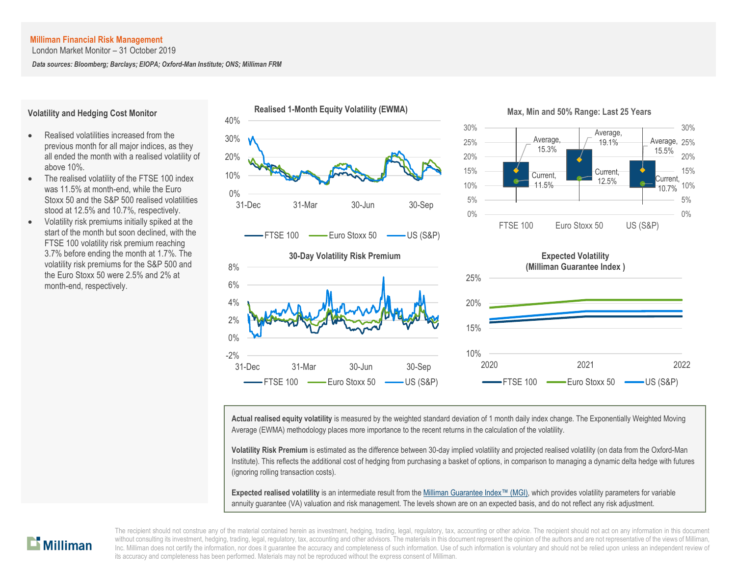London Market Monitor – 31 October 2019

*Data sources: Bloomberg; Barclays; EIOPA; Oxford-Man Institute; ONS; Milliman FRM*

#### **Volatility and Hedging Cost Monitor**

- Realised volatilities increased from the previous month for all major indices, as they all ended the month with a realised volatility of above 10%.
- The realised volatility of the FTSE 100 index was 11.5% at month-end, while the Euro Stoxx 50 and the S&P 500 realised volatilities stood at 12.5% and 10.7%, respectively.
- Volatility risk premiums initially spiked at the start of the month but soon declined, with the FTSE 100 volatility risk premium reaching 3.7% before ending the month at 1.7%. The volatility risk premiums for the S&P 500 and the Euro Stoxx 50 were 2.5% and 2% at month-end, respectively.



**Actual realised equity volatility** is measured by the weighted standard deviation of 1 month daily index change. The Exponentially Weighted Moving Average (EWMA) methodology places more importance to the recent returns in the calculation of the volatility.

**Volatility Risk Premium** is estimated as the difference between 30-day implied volatility and projected realised volatility (on data from the Oxford-Man Institute). This reflects the additional cost of hedging from purchasing a basket of options, in comparison to managing a dynamic delta hedge with futures (ignoring rolling transaction costs).

**Expected realised volatility** is an intermediate result from th[e Milliman Guarantee Index](http://uk.milliman.com/Solutions/Products/The-Milliman-Guarantee-Index-and-Milliman-Hedge-Cost-Index/)™ (MGI), which provides volatility parameters for variable annuity guarantee (VA) valuation and risk management. The levels shown are on an expected basis, and do not reflect any risk adjustment.